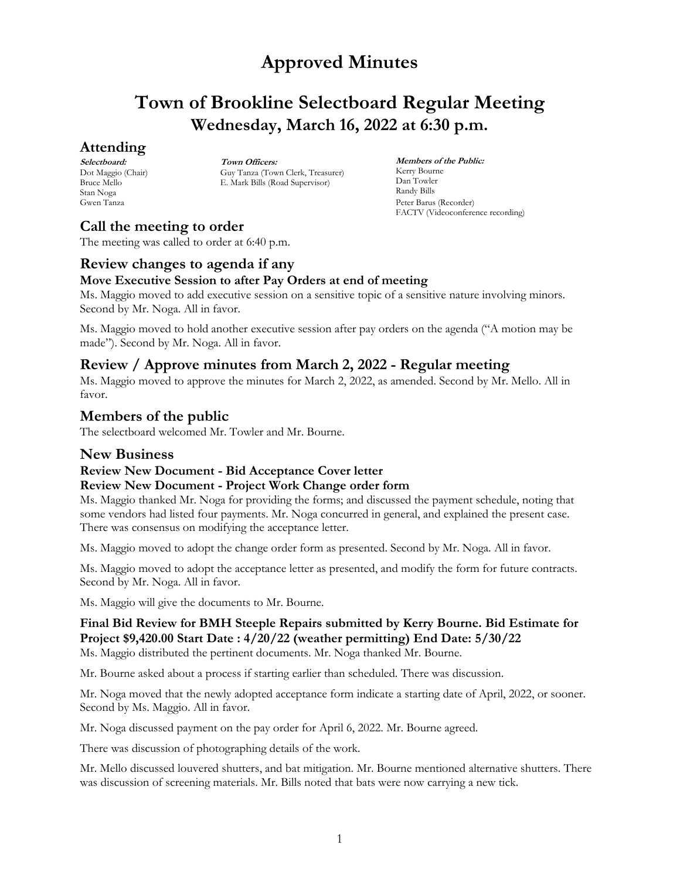## **Town of Brookline Selectboard Regular Meeting Wednesday, March 16, 2022 at 6:30 p.m.**

### **Attending**

**Selectboard:** Dot Maggio (Chair) Bruce Mello Stan Noga Gwen Tanza

**Town Officers:** Guy Tanza (Town Clerk, Treasurer) E. Mark Bills (Road Supervisor)

**Members of the Public:** Kerry Bourne Dan Towler Randy Bills Peter Barus (Recorder) FACTV (Videoconference recording)

### **Call the meeting to order**

The meeting was called to order at 6:40 p.m.

### **Review changes to agenda if any**

### **Move Executive Session to after Pay Orders at end of meeting**

Ms. Maggio moved to add executive session on a sensitive topic of a sensitive nature involving minors. Second by Mr. Noga. All in favor.

Ms. Maggio moved to hold another executive session after pay orders on the agenda ("A motion may be made"). Second by Mr. Noga. All in favor.

### **Review / Approve minutes from March 2, 2022 - Regular meeting**

Ms. Maggio moved to approve the minutes for March 2, 2022, as amended. Second by Mr. Mello. All in favor.

### **Members of the public**

The selectboard welcomed Mr. Towler and Mr. Bourne.

### **New Business**

### **Review New Document - Bid Acceptance Cover letter**

### **Review New Document - Project Work Change order form**

Ms. Maggio thanked Mr. Noga for providing the forms; and discussed the payment schedule, noting that some vendors had listed four payments. Mr. Noga concurred in general, and explained the present case. There was consensus on modifying the acceptance letter.

Ms. Maggio moved to adopt the change order form as presented. Second by Mr. Noga. All in favor.

Ms. Maggio moved to adopt the acceptance letter as presented, and modify the form for future contracts. Second by Mr. Noga. All in favor.

Ms. Maggio will give the documents to Mr. Bourne.

### **Final Bid Review for BMH Steeple Repairs submitted by Kerry Bourne. Bid Estimate for Project \$9,420.00 Start Date : 4/20/22 (weather permitting) End Date: 5/30/22**

Ms. Maggio distributed the pertinent documents. Mr. Noga thanked Mr. Bourne.

Mr. Bourne asked about a process if starting earlier than scheduled. There was discussion.

Mr. Noga moved that the newly adopted acceptance form indicate a starting date of April, 2022, or sooner. Second by Ms. Maggio. All in favor.

Mr. Noga discussed payment on the pay order for April 6, 2022. Mr. Bourne agreed.

There was discussion of photographing details of the work.

Mr. Mello discussed louvered shutters, and bat mitigation. Mr. Bourne mentioned alternative shutters. There was discussion of screening materials. Mr. Bills noted that bats were now carrying a new tick.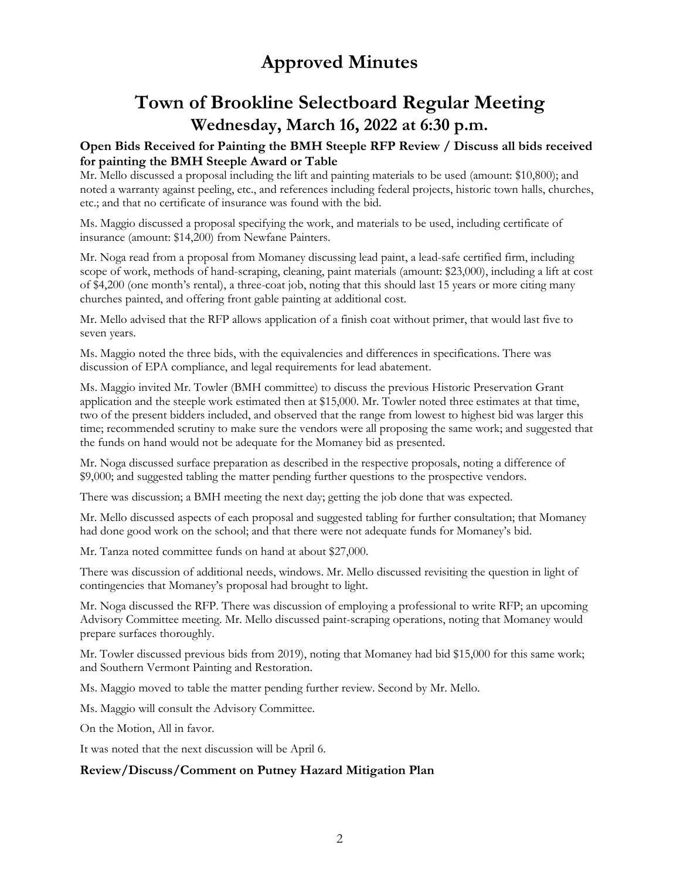# **Town of Brookline Selectboard Regular Meeting Wednesday, March 16, 2022 at 6:30 p.m.**

### **Open Bids Received for Painting the BMH Steeple RFP Review / Discuss all bids received for painting the BMH Steeple Award or Table**

Mr. Mello discussed a proposal including the lift and painting materials to be used (amount: \$10,800); and noted a warranty against peeling, etc., and references including federal projects, historic town halls, churches, etc.; and that no certificate of insurance was found with the bid.

Ms. Maggio discussed a proposal specifying the work, and materials to be used, including certificate of insurance (amount: \$14,200) from Newfane Painters.

Mr. Noga read from a proposal from Momaney discussing lead paint, a lead-safe certified firm, including scope of work, methods of hand-scraping, cleaning, paint materials (amount: \$23,000), including a lift at cost of \$4,200 (one month's rental), a three-coat job, noting that this should last 15 years or more citing many churches painted, and offering front gable painting at additional cost.

Mr. Mello advised that the RFP allows application of a finish coat without primer, that would last five to seven years.

Ms. Maggio noted the three bids, with the equivalencies and differences in specifications. There was discussion of EPA compliance, and legal requirements for lead abatement.

Ms. Maggio invited Mr. Towler (BMH committee) to discuss the previous Historic Preservation Grant application and the steeple work estimated then at \$15,000. Mr. Towler noted three estimates at that time, two of the present bidders included, and observed that the range from lowest to highest bid was larger this time; recommended scrutiny to make sure the vendors were all proposing the same work; and suggested that the funds on hand would not be adequate for the Momaney bid as presented.

Mr. Noga discussed surface preparation as described in the respective proposals, noting a difference of \$9,000; and suggested tabling the matter pending further questions to the prospective vendors.

There was discussion; a BMH meeting the next day; getting the job done that was expected.

Mr. Mello discussed aspects of each proposal and suggested tabling for further consultation; that Momaney had done good work on the school; and that there were not adequate funds for Momaney's bid.

Mr. Tanza noted committee funds on hand at about \$27,000.

There was discussion of additional needs, windows. Mr. Mello discussed revisiting the question in light of contingencies that Momaney's proposal had brought to light.

Mr. Noga discussed the RFP. There was discussion of employing a professional to write RFP; an upcoming Advisory Committee meeting. Mr. Mello discussed paint-scraping operations, noting that Momaney would prepare surfaces thoroughly.

Mr. Towler discussed previous bids from 2019), noting that Momaney had bid \$15,000 for this same work; and Southern Vermont Painting and Restoration.

Ms. Maggio moved to table the matter pending further review. Second by Mr. Mello.

Ms. Maggio will consult the Advisory Committee.

On the Motion, All in favor.

It was noted that the next discussion will be April 6.

### **Review/Discuss/Comment on Putney Hazard Mitigation Plan**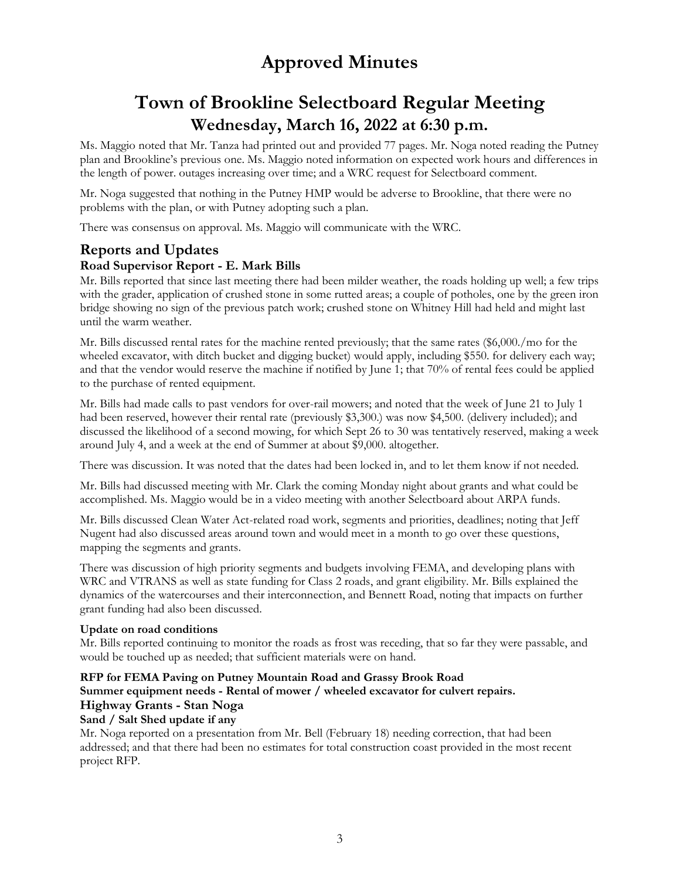# **Town of Brookline Selectboard Regular Meeting Wednesday, March 16, 2022 at 6:30 p.m.**

Ms. Maggio noted that Mr. Tanza had printed out and provided 77 pages. Mr. Noga noted reading the Putney plan and Brookline's previous one. Ms. Maggio noted information on expected work hours and differences in the length of power. outages increasing over time; and a WRC request for Selectboard comment.

Mr. Noga suggested that nothing in the Putney HMP would be adverse to Brookline, that there were no problems with the plan, or with Putney adopting such a plan.

There was consensus on approval. Ms. Maggio will communicate with the WRC.

### **Reports and Updates**

### **Road Supervisor Report - E. Mark Bills**

Mr. Bills reported that since last meeting there had been milder weather, the roads holding up well; a few trips with the grader, application of crushed stone in some rutted areas; a couple of potholes, one by the green iron bridge showing no sign of the previous patch work; crushed stone on Whitney Hill had held and might last until the warm weather.

Mr. Bills discussed rental rates for the machine rented previously; that the same rates (\$6,000./mo for the wheeled excavator, with ditch bucket and digging bucket) would apply, including \$550. for delivery each way; and that the vendor would reserve the machine if notified by June 1; that 70% of rental fees could be applied to the purchase of rented equipment.

Mr. Bills had made calls to past vendors for over-rail mowers; and noted that the week of June 21 to July 1 had been reserved, however their rental rate (previously \$3,300.) was now \$4,500. (delivery included); and discussed the likelihood of a second mowing, for which Sept 26 to 30 was tentatively reserved, making a week around July 4, and a week at the end of Summer at about \$9,000. altogether.

There was discussion. It was noted that the dates had been locked in, and to let them know if not needed.

Mr. Bills had discussed meeting with Mr. Clark the coming Monday night about grants and what could be accomplished. Ms. Maggio would be in a video meeting with another Selectboard about ARPA funds.

Mr. Bills discussed Clean Water Act-related road work, segments and priorities, deadlines; noting that Jeff Nugent had also discussed areas around town and would meet in a month to go over these questions, mapping the segments and grants.

There was discussion of high priority segments and budgets involving FEMA, and developing plans with WRC and VTRANS as well as state funding for Class 2 roads, and grant eligibility. Mr. Bills explained the dynamics of the watercourses and their interconnection, and Bennett Road, noting that impacts on further grant funding had also been discussed.

### **Update on road conditions**

Mr. Bills reported continuing to monitor the roads as frost was receding, that so far they were passable, and would be touched up as needed; that sufficient materials were on hand.

### **RFP for FEMA Paving on Putney Mountain Road and Grassy Brook Road Summer equipment needs - Rental of mower / wheeled excavator for culvert repairs. Highway Grants - Stan Noga**

### **Sand / Salt Shed update if any**

Mr. Noga reported on a presentation from Mr. Bell (February 18) needing correction, that had been addressed; and that there had been no estimates for total construction coast provided in the most recent project RFP.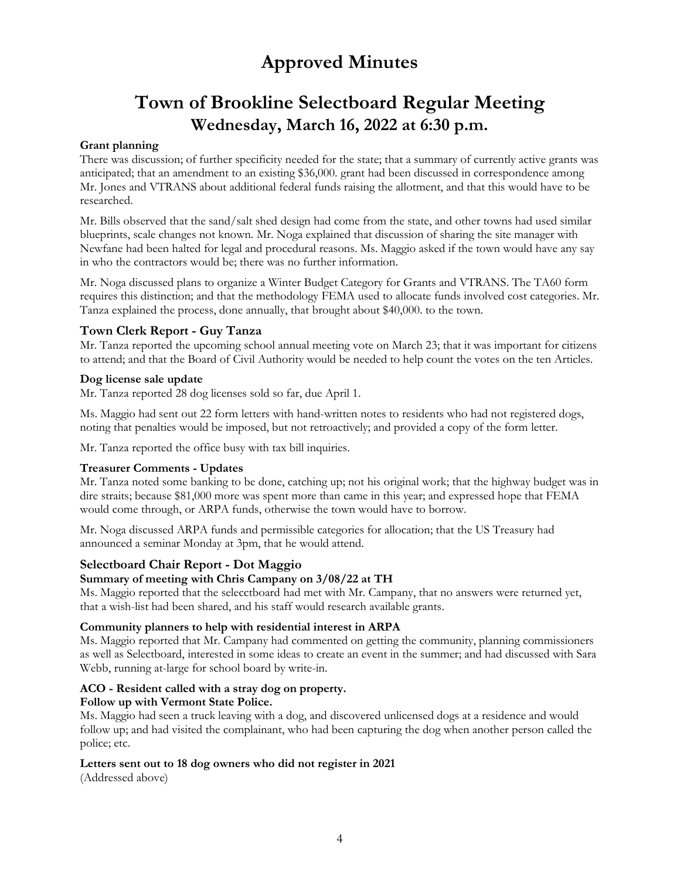## **Town of Brookline Selectboard Regular Meeting Wednesday, March 16, 2022 at 6:30 p.m.**

### **Grant planning**

There was discussion; of further specificity needed for the state; that a summary of currently active grants was anticipated; that an amendment to an existing \$36,000. grant had been discussed in correspondence among Mr. Jones and VTRANS about additional federal funds raising the allotment, and that this would have to be researched.

Mr. Bills observed that the sand/salt shed design had come from the state, and other towns had used similar blueprints, scale changes not known. Mr. Noga explained that discussion of sharing the site manager with Newfane had been halted for legal and procedural reasons. Ms. Maggio asked if the town would have any say in who the contractors would be; there was no further information.

Mr. Noga discussed plans to organize a Winter Budget Category for Grants and VTRANS. The TA60 form requires this distinction; and that the methodology FEMA used to allocate funds involved cost categories. Mr. Tanza explained the process, done annually, that brought about \$40,000. to the town.

### **Town Clerk Report - Guy Tanza**

Mr. Tanza reported the upcoming school annual meeting vote on March 23; that it was important for citizens to attend; and that the Board of Civil Authority would be needed to help count the votes on the ten Articles.

### **Dog license sale update**

Mr. Tanza reported 28 dog licenses sold so far, due April 1.

Ms. Maggio had sent out 22 form letters with hand-written notes to residents who had not registered dogs, noting that penalties would be imposed, but not retroactively; and provided a copy of the form letter.

Mr. Tanza reported the office busy with tax bill inquiries.

### **Treasurer Comments - Updates**

Mr. Tanza noted some banking to be done, catching up; not his original work; that the highway budget was in dire straits; because \$81,000 more was spent more than came in this year; and expressed hope that FEMA would come through, or ARPA funds, otherwise the town would have to borrow.

Mr. Noga discussed ARPA funds and permissible categories for allocation; that the US Treasury had announced a seminar Monday at 3pm, that he would attend.

### **Selectboard Chair Report - Dot Maggio**

### **Summary of meeting with Chris Campany on 3/08/22 at TH**

Ms. Maggio reported that the selecctboard had met with Mr. Campany, that no answers were returned yet, that a wish-list had been shared, and his staff would research available grants.

#### **Community planners to help with residential interest in ARPA**

Ms. Maggio reported that Mr. Campany had commented on getting the community, planning commissioners as well as Selectboard, interested in some ideas to create an event in the summer; and had discussed with Sara Webb, running at-large for school board by write-in.

### **ACO - Resident called with a stray dog on property.**

#### **Follow up with Vermont State Police.**

Ms. Maggio had seen a truck leaving with a dog, and discovered unlicensed dogs at a residence and would follow up; and had visited the complainant, who had been capturing the dog when another person called the police; etc.

#### **Letters sent out to 18 dog owners who did not register in 2021**

(Addressed above)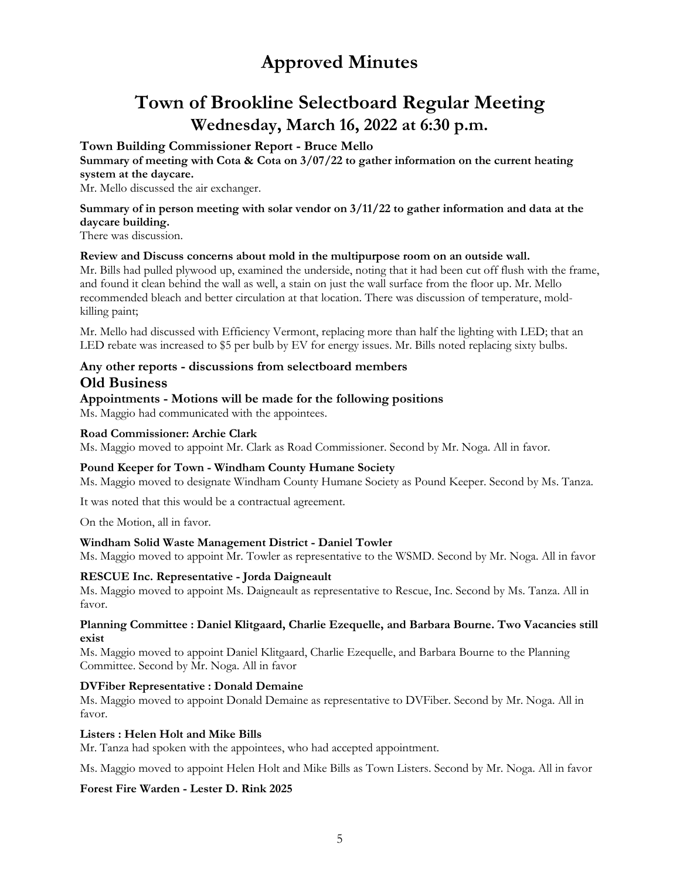## **Town of Brookline Selectboard Regular Meeting Wednesday, March 16, 2022 at 6:30 p.m.**

### **Town Building Commissioner Report - Bruce Mello**

**Summary of meeting with Cota & Cota on 3/07/22 to gather information on the current heating system at the daycare.** 

Mr. Mello discussed the air exchanger.

#### **Summary of in person meeting with solar vendor on 3/11/22 to gather information and data at the daycare building.**

There was discussion.

### **Review and Discuss concerns about mold in the multipurpose room on an outside wall.**

Mr. Bills had pulled plywood up, examined the underside, noting that it had been cut off flush with the frame, and found it clean behind the wall as well, a stain on just the wall surface from the floor up. Mr. Mello recommended bleach and better circulation at that location. There was discussion of temperature, moldkilling paint;

Mr. Mello had discussed with Efficiency Vermont, replacing more than half the lighting with LED; that an LED rebate was increased to \$5 per bulb by EV for energy issues. Mr. Bills noted replacing sixty bulbs.

### **Any other reports - discussions from selectboard members Old Business**

### **Appointments - Motions will be made for the following positions**

Ms. Maggio had communicated with the appointees.

#### **Road Commissioner: Archie Clark**

Ms. Maggio moved to appoint Mr. Clark as Road Commissioner. Second by Mr. Noga. All in favor.

### **Pound Keeper for Town - Windham County Humane Society**

Ms. Maggio moved to designate Windham County Humane Society as Pound Keeper. Second by Ms. Tanza.

It was noted that this would be a contractual agreement.

On the Motion, all in favor.

### **Windham Solid Waste Management District - Daniel Towler**

Ms. Maggio moved to appoint Mr. Towler as representative to the WSMD. Second by Mr. Noga. All in favor

### **RESCUE Inc. Representative - Jorda Daigneault**

Ms. Maggio moved to appoint Ms. Daigneault as representative to Rescue, Inc. Second by Ms. Tanza. All in favor.

#### **Planning Committee : Daniel Klitgaard, Charlie Ezequelle, and Barbara Bourne. Two Vacancies still exist**

Ms. Maggio moved to appoint Daniel Klitgaard, Charlie Ezequelle, and Barbara Bourne to the Planning Committee. Second by Mr. Noga. All in favor

### **DVFiber Representative : Donald Demaine**

Ms. Maggio moved to appoint Donald Demaine as representative to DVFiber. Second by Mr. Noga. All in favor.

#### **Listers : Helen Holt and Mike Bills**

Mr. Tanza had spoken with the appointees, who had accepted appointment.

Ms. Maggio moved to appoint Helen Holt and Mike Bills as Town Listers. Second by Mr. Noga. All in favor

### **Forest Fire Warden - Lester D. Rink 2025**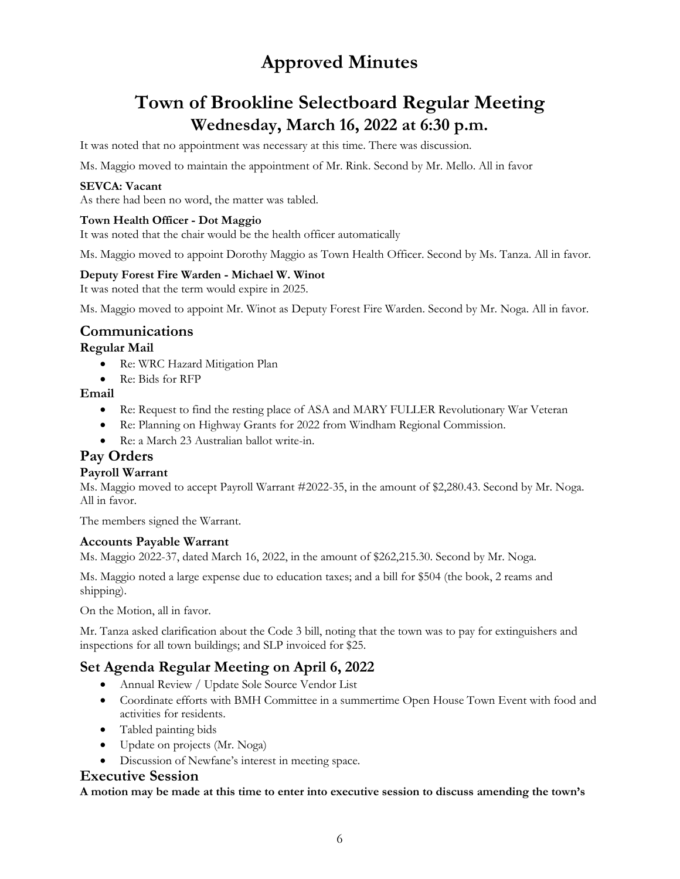## **Town of Brookline Selectboard Regular Meeting Wednesday, March 16, 2022 at 6:30 p.m.**

It was noted that no appointment was necessary at this time. There was discussion.

Ms. Maggio moved to maintain the appointment of Mr. Rink. Second by Mr. Mello. All in favor

### **SEVCA: Vacant**

As there had been no word, the matter was tabled.

#### **Town Health Officer - Dot Maggio**

It was noted that the chair would be the health officer automatically

Ms. Maggio moved to appoint Dorothy Maggio as Town Health Officer. Second by Ms. Tanza. All in favor.

### **Deputy Forest Fire Warden - Michael W. Winot**

It was noted that the term would expire in 2025.

Ms. Maggio moved to appoint Mr. Winot as Deputy Forest Fire Warden. Second by Mr. Noga. All in favor.

### **Communications**

#### **Regular Mail**

- Re: WRC Hazard Mitigation Plan
- Re: Bids for RFP

### **Email**

- Re: Request to find the resting place of ASA and MARY FULLER Revolutionary War Veteran
- Re: Planning on Highway Grants for 2022 from Windham Regional Commission.
- Re: a March 23 Australian ballot write-in.

### **Pay Orders**

### **Payroll Warrant**

Ms. Maggio moved to accept Payroll Warrant #2022-35, in the amount of \$2,280.43. Second by Mr. Noga. All in favor.

The members signed the Warrant.

### **Accounts Payable Warrant**

Ms. Maggio 2022-37, dated March 16, 2022, in the amount of \$262,215.30. Second by Mr. Noga.

Ms. Maggio noted a large expense due to education taxes; and a bill for \$504 (the book, 2 reams and shipping).

On the Motion, all in favor.

Mr. Tanza asked clarification about the Code 3 bill, noting that the town was to pay for extinguishers and inspections for all town buildings; and SLP invoiced for \$25.

### **Set Agenda Regular Meeting on April 6, 2022**

- Annual Review / Update Sole Source Vendor List
- Coordinate efforts with BMH Committee in a summertime Open House Town Event with food and activities for residents.
- Tabled painting bids
- Update on projects (Mr. Noga)
- Discussion of Newfane's interest in meeting space.

### **Executive Session**

**A motion may be made at this time to enter into executive session to discuss amending the town's**